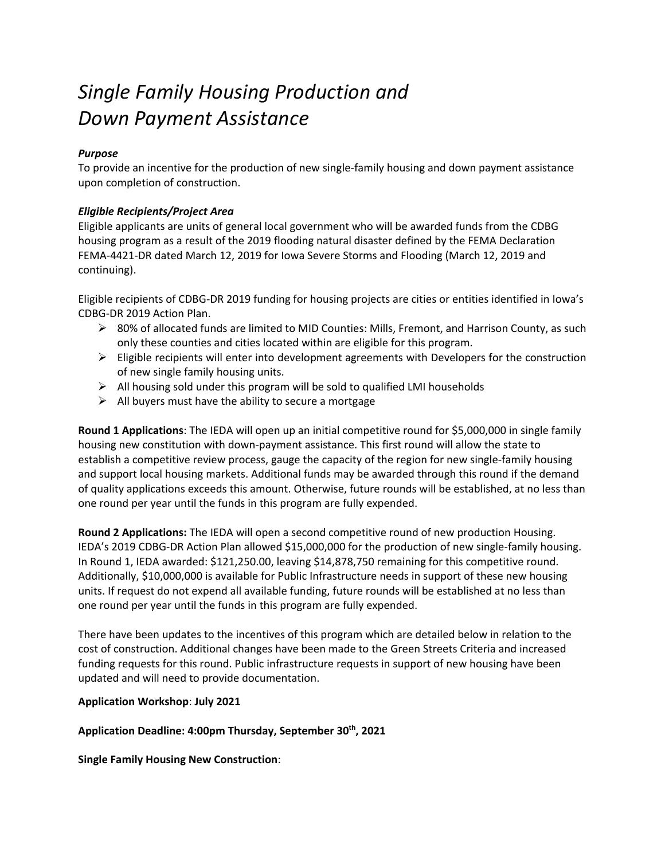# *Single Family Housing Production and Down Payment Assistance*

#### *Purpose*

To provide an incentive for the production of new single-family housing and down payment assistance upon completion of construction.

#### *Eligible Recipients/Project Area*

Eligible applicants are units of general local government who will be awarded funds from the CDBG housing program as a result of the 2019 flooding natural disaster defined by the FEMA Declaration FEMA-4421-DR dated March 12, 2019 for Iowa Severe Storms and Flooding (March 12, 2019 and continuing).

Eligible recipients of CDBG-DR 2019 funding for housing projects are cities or entities identified in Iowa's CDBG-DR 2019 Action Plan.

- 80% of allocated funds are limited to MID Counties: Mills, Fremont, and Harrison County, as such only these counties and cities located within are eligible for this program.
- $\triangleright$  Eligible recipients will enter into development agreements with Developers for the construction of new single family housing units.
- $\triangleright$  All housing sold under this program will be sold to qualified LMI households
- $\triangleright$  All buyers must have the ability to secure a mortgage

**Round 1 Applications**: The IEDA will open up an initial competitive round for \$5,000,000 in single family housing new constitution with down-payment assistance. This first round will allow the state to establish a competitive review process, gauge the capacity of the region for new single-family housing and support local housing markets. Additional funds may be awarded through this round if the demand of quality applications exceeds this amount. Otherwise, future rounds will be established, at no less than one round per year until the funds in this program are fully expended.

**Round 2 Applications:** The IEDA will open a second competitive round of new production Housing. IEDA's 2019 CDBG-DR Action Plan allowed \$15,000,000 for the production of new single-family housing. In Round 1, IEDA awarded: \$121,250.00, leaving \$14,878,750 remaining for this competitive round. Additionally, \$10,000,000 is available for Public Infrastructure needs in support of these new housing units. If request do not expend all available funding, future rounds will be established at no less than one round per year until the funds in this program are fully expended.

There have been updates to the incentives of this program which are detailed below in relation to the cost of construction. Additional changes have been made to the Green Streets Criteria and increased funding requests for this round. Public infrastructure requests in support of new housing have been updated and will need to provide documentation.

#### **Application Workshop**: **July 2021**

**Application Deadline: 4:00pm Thursday, September 30th, 2021**

**Single Family Housing New Construction**: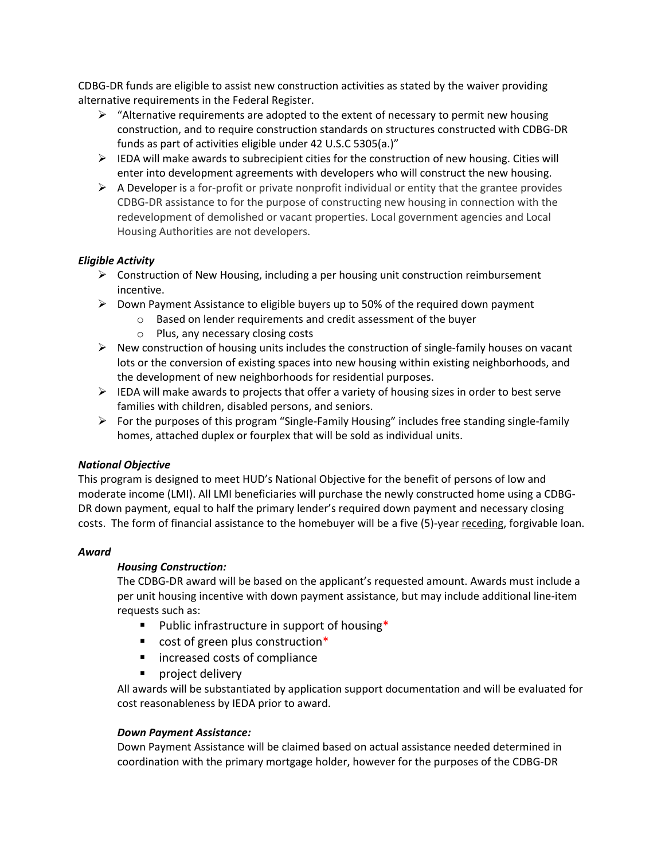CDBG-DR funds are eligible to assist new construction activities as stated by the waiver providing alternative requirements in the Federal Register.

- $\triangleright$  "Alternative requirements are adopted to the extent of necessary to permit new housing construction, and to require construction standards on structures constructed with CDBG-DR funds as part of activities eligible under 42 U.S.C 5305(a.)"
- $\triangleright$  IEDA will make awards to subrecipient cities for the construction of new housing. Cities will enter into development agreements with developers who will construct the new housing.
- $\triangleright$  A Developer is a for-profit or private nonprofit individual or entity that the grantee provides CDBG-DR assistance to for the purpose of constructing new housing in connection with the redevelopment of demolished or vacant properties. Local government agencies and Local Housing Authorities are not developers.

#### *Eligible Activity*

- $\triangleright$  Construction of New Housing, including a per housing unit construction reimbursement incentive.
- $\triangleright$  Down Payment Assistance to eligible buyers up to 50% of the required down payment
	- o Based on lender requirements and credit assessment of the buyer
	- o Plus, any necessary closing costs
- $\triangleright$  New construction of housing units includes the construction of single-family houses on vacant lots or the conversion of existing spaces into new housing within existing neighborhoods, and the development of new neighborhoods for residential purposes.
- $\triangleright$  IEDA will make awards to projects that offer a variety of housing sizes in order to best serve families with children, disabled persons, and seniors.
- $\triangleright$  For the purposes of this program "Single-Family Housing" includes free standing single-family homes, attached duplex or fourplex that will be sold as individual units.

# *National Objective*

This program is designed to meet HUD's National Objective for the benefit of persons of low and moderate income (LMI). All LMI beneficiaries will purchase the newly constructed home using a CDBG-DR down payment, equal to half the primary lender's required down payment and necessary closing costs. The form of financial assistance to the homebuyer will be a five (5)-year receding, forgivable loan.

#### *Award*

# *Housing Construction:*

The CDBG-DR award will be based on the applicant's requested amount. Awards must include a per unit housing incentive with down payment assistance, but may include additional line-item requests such as:

- **Public infrastructure in support of housing\***
- cost of green plus construction<sup>\*</sup>
- **EXEC** increased costs of compliance
- **project delivery**

All awards will be substantiated by application support documentation and will be evaluated for cost reasonableness by IEDA prior to award.

# *Down Payment Assistance:*

Down Payment Assistance will be claimed based on actual assistance needed determined in coordination with the primary mortgage holder, however for the purposes of the CDBG-DR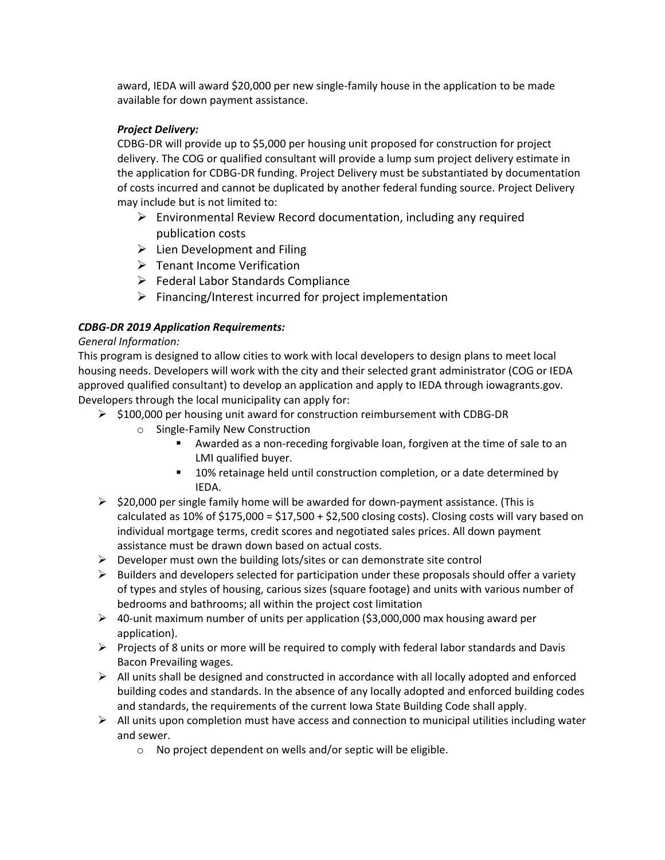award, IEDA will award \$20,000 per new single-family house in the application to be made available for down payment assistance.

# *Project Delivery:*

CDBG-DR will provide up to \$5,000 per housing unit proposed for construction for project delivery. The COG or qualified consultant will provide a lump sum project delivery estimate in the application for CDBG-DR funding. Project Delivery must be substantiated by documentation of costs incurred and cannot be duplicated by another federal funding source. Project Delivery may include but is not limited to:

- $\triangleright$  Environmental Review Record documentation, including any required publication costs
- $\triangleright$  Lien Development and Filing
- Tenant Income Verification
- $\triangleright$  Federal Labor Standards Compliance
- $\triangleright$  Financing/Interest incurred for project implementation

# *CDBG-DR 2019 Application Requirements:*

#### *General Information:*

This program is designed to allow cities to work with local developers to design plans to meet local housing needs. Developers will work with the city and their selected grant administrator (COG or IEDA approved qualified consultant) to develop an application and apply to IEDA through iowagrants.gov. Developers through the local municipality can apply for:

- $\triangleright$  \$100,000 per housing unit award for construction reimbursement with CDBG-DR
	- o Single-Family New Construction
		- Awarded as a non-receding forgivable loan, forgiven at the time of sale to an LMI qualified buyer.
		- 10% retainage held until construction completion, or a date determined by IEDA.
- $\triangleright$  \$20,000 per single family home will be awarded for down-payment assistance. (This is calculated as 10% of  $$175,000 = $17,500 + $2,500$  closing costs). Closing costs will vary based on individual mortgage terms, credit scores and negotiated sales prices. All down payment assistance must be drawn down based on actual costs.
- $\triangleright$  Developer must own the building lots/sites or can demonstrate site control
- $\triangleright$  Builders and developers selected for participation under these proposals should offer a variety of types and styles of housing, carious sizes (square footage) and units with various number of bedrooms and bathrooms; all within the project cost limitation
- $\triangleright$  40-unit maximum number of units per application (\$3,000,000 max housing award per application).
- $\triangleright$  Projects of 8 units or more will be required to comply with federal labor standards and Davis Bacon Prevailing wages.
- $\triangleright$  All units shall be designed and constructed in accordance with all locally adopted and enforced building codes and standards. In the absence of any locally adopted and enforced building codes and standards, the requirements of the current Iowa State Building Code shall apply.
- $\triangleright$  All units upon completion must have access and connection to municipal utilities including water and sewer.
	- o No project dependent on wells and/or septic will be eligible.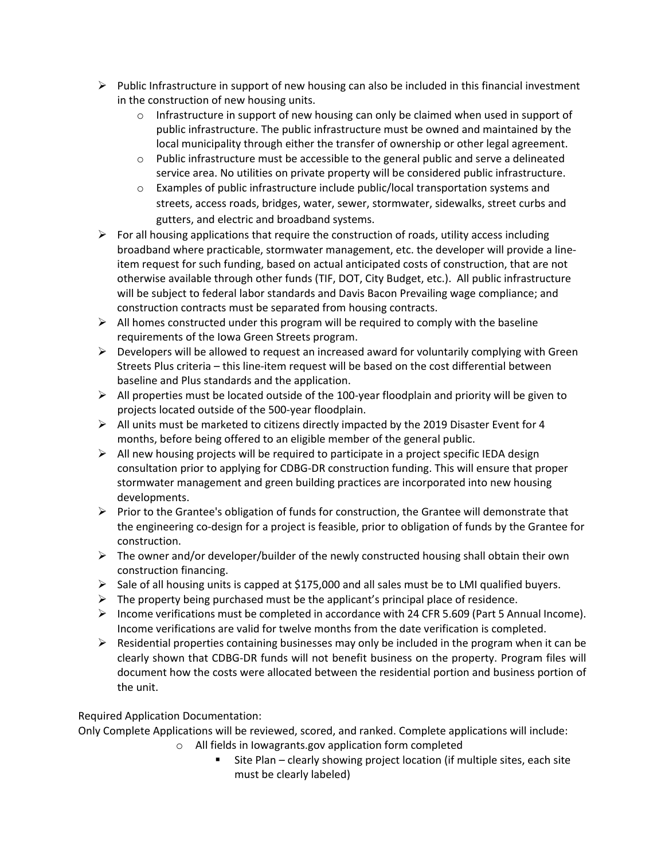- $\triangleright$  Public Infrastructure in support of new housing can also be included in this financial investment in the construction of new housing units.
	- $\circ$  Infrastructure in support of new housing can only be claimed when used in support of public infrastructure. The public infrastructure must be owned and maintained by the local municipality through either the transfer of ownership or other legal agreement.
	- $\circ$  Public infrastructure must be accessible to the general public and serve a delineated service area. No utilities on private property will be considered public infrastructure.
	- o Examples of public infrastructure include public/local transportation systems and streets, access roads, bridges, water, sewer, stormwater, sidewalks, street curbs and gutters, and electric and broadband systems.
- $\triangleright$  For all housing applications that require the construction of roads, utility access including broadband where practicable, stormwater management, etc. the developer will provide a lineitem request for such funding, based on actual anticipated costs of construction, that are not otherwise available through other funds (TIF, DOT, City Budget, etc.). All public infrastructure will be subject to federal labor standards and Davis Bacon Prevailing wage compliance; and construction contracts must be separated from housing contracts.
- $\triangleright$  All homes constructed under this program will be required to comply with the baseline requirements of the Iowa Green Streets program.
- $\triangleright$  Developers will be allowed to request an increased award for voluntarily complying with Green Streets Plus criteria – this line-item request will be based on the cost differential between baseline and Plus standards and the application.
- $\triangleright$  All properties must be located outside of the 100-year floodplain and priority will be given to projects located outside of the 500-year floodplain.
- $\triangleright$  All units must be marketed to citizens directly impacted by the 2019 Disaster Event for 4 months, before being offered to an eligible member of the general public.
- $\triangleright$  All new housing projects will be required to participate in a project specific IEDA design consultation prior to applying for CDBG-DR construction funding. This will ensure that proper stormwater management and green building practices are incorporated into new housing developments.
- $\triangleright$  Prior to the Grantee's obligation of funds for construction, the Grantee will demonstrate that the engineering co-design for a project is feasible, prior to obligation of funds by the Grantee for construction.
- $\triangleright$  The owner and/or developer/builder of the newly constructed housing shall obtain their own construction financing.
- $\triangleright$  Sale of all housing units is capped at \$175,000 and all sales must be to LMI qualified buyers.
- $\triangleright$  The property being purchased must be the applicant's principal place of residence.
- Income verifications must be completed in accordance with 24 CFR 5.609 (Part 5 Annual Income). Income verifications are valid for twelve months from the date verification is completed.
- $\triangleright$  Residential properties containing businesses may only be included in the program when it can be clearly shown that CDBG-DR funds will not benefit business on the property. Program files will document how the costs were allocated between the residential portion and business portion of the unit.

# Required Application Documentation:

Only Complete Applications will be reviewed, scored, and ranked. Complete applications will include:

- o All fields in Iowagrants.gov application form completed
	- Site Plan clearly showing project location (if multiple sites, each site must be clearly labeled)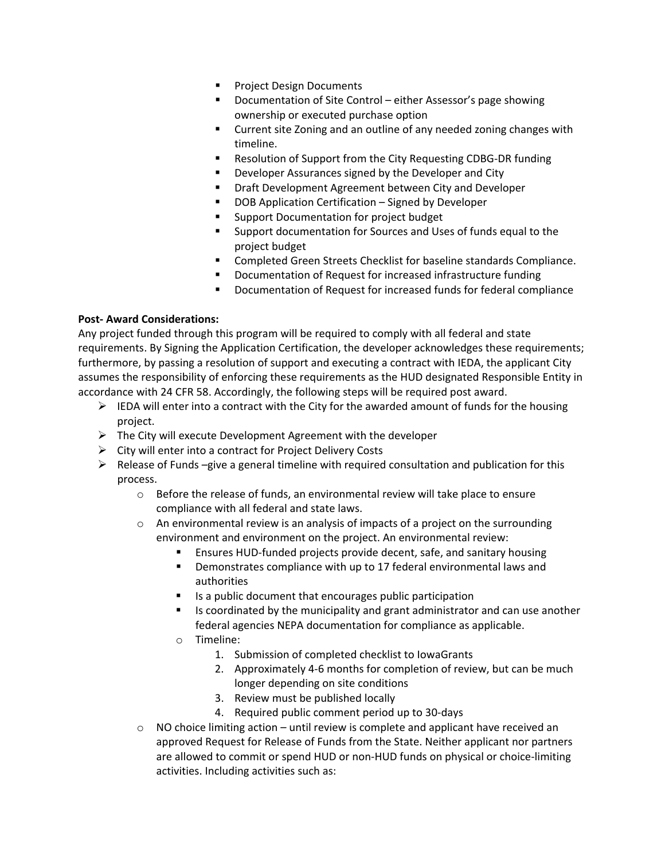- **Project Design Documents**
- Documentation of Site Control either Assessor's page showing ownership or executed purchase option
- **EXTER** Current site Zoning and an outline of any needed zoning changes with timeline.
- Resolution of Support from the City Requesting CDBG-DR funding
- Developer Assurances signed by the Developer and City
- **Draft Development Agreement between City and Developer**
- **DOB Application Certification Signed by Developer**
- Support Documentation for project budget
- **Support documentation for Sources and Uses of funds equal to the** project budget
- Completed Green Streets Checklist for baseline standards Compliance.
- Documentation of Request for increased infrastructure funding
- Documentation of Request for increased funds for federal compliance

#### **Post- Award Considerations:**

Any project funded through this program will be required to comply with all federal and state requirements. By Signing the Application Certification, the developer acknowledges these requirements; furthermore, by passing a resolution of support and executing a contract with IEDA, the applicant City assumes the responsibility of enforcing these requirements as the HUD designated Responsible Entity in accordance with 24 CFR 58. Accordingly, the following steps will be required post award.

- $\triangleright$  IEDA will enter into a contract with the City for the awarded amount of funds for the housing project.
- $\triangleright$  The City will execute Development Agreement with the developer
- $\triangleright$  City will enter into a contract for Project Delivery Costs
- $\triangleright$  Release of Funds –give a general timeline with required consultation and publication for this process.
	- o Before the release of funds, an environmental review will take place to ensure compliance with all federal and state laws.
	- $\circ$  An environmental review is an analysis of impacts of a project on the surrounding environment and environment on the project. An environmental review:
		- Ensures HUD-funded projects provide decent, safe, and sanitary housing
		- **•** Demonstrates compliance with up to 17 federal environmental laws and authorities
		- Is a public document that encourages public participation
		- Is coordinated by the municipality and grant administrator and can use another federal agencies NEPA documentation for compliance as applicable.
		- o Timeline:
			- 1. Submission of completed checklist to IowaGrants
			- 2. Approximately 4-6 months for completion of review, but can be much longer depending on site conditions
			- 3. Review must be published locally
			- 4. Required public comment period up to 30-days
	- $\circ$  NO choice limiting action until review is complete and applicant have received an approved Request for Release of Funds from the State. Neither applicant nor partners are allowed to commit or spend HUD or non-HUD funds on physical or choice-limiting activities. Including activities such as: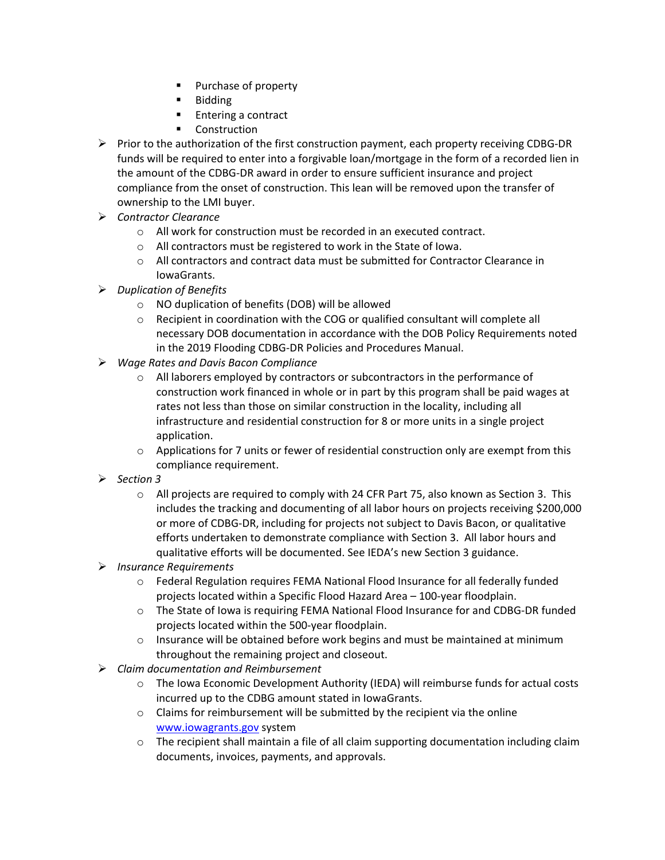- **Purchase of property**
- **Bidding**
- **Entering a contract**
- Construction
- $\triangleright$  Prior to the authorization of the first construction payment, each property receiving CDBG-DR funds will be required to enter into a forgivable loan/mortgage in the form of a recorded lien in the amount of the CDBG-DR award in order to ensure sufficient insurance and project compliance from the onset of construction. This lean will be removed upon the transfer of ownership to the LMI buyer.
- *Contractor Clearance*
	- o All work for construction must be recorded in an executed contract.
	- o All contractors must be registered to work in the State of Iowa.
	- $\circ$  All contractors and contract data must be submitted for Contractor Clearance in IowaGrants.
- *Duplication of Benefits* 
	- o NO duplication of benefits (DOB) will be allowed
	- o Recipient in coordination with the COG or qualified consultant will complete all necessary DOB documentation in accordance with the DOB Policy Requirements noted in the 2019 Flooding CDBG-DR Policies and Procedures Manual.
- *Wage Rates and Davis Bacon Compliance* 
	- $\circ$  All laborers employed by contractors or subcontractors in the performance of construction work financed in whole or in part by this program shall be paid wages at rates not less than those on similar construction in the locality, including all infrastructure and residential construction for 8 or more units in a single project application.
	- $\circ$  Applications for 7 units or fewer of residential construction only are exempt from this compliance requirement.
- *Section 3* 
	- $\circ$  All projects are required to comply with 24 CFR Part 75, also known as Section 3. This includes the tracking and documenting of all labor hours on projects receiving \$200,000 or more of CDBG-DR, including for projects not subject to Davis Bacon, or qualitative efforts undertaken to demonstrate compliance with Section 3. All labor hours and qualitative efforts will be documented. See IEDA's new Section 3 guidance.
- *Insurance Requirements*
	- o Federal Regulation requires FEMA National Flood Insurance for all federally funded projects located within a Specific Flood Hazard Area – 100-year floodplain.
	- o The State of Iowa is requiring FEMA National Flood Insurance for and CDBG-DR funded projects located within the 500-year floodplain.
	- $\circ$  Insurance will be obtained before work begins and must be maintained at minimum throughout the remaining project and closeout.
- *Claim documentation and Reimbursement* 
	- o The Iowa Economic Development Authority (IEDA) will reimburse funds for actual costs incurred up to the CDBG amount stated in IowaGrants.
	- $\circ$  Claims for reimbursement will be submitted by the recipient via the online www.iowagrants.gov system
	- $\circ$  The recipient shall maintain a file of all claim supporting documentation including claim documents, invoices, payments, and approvals.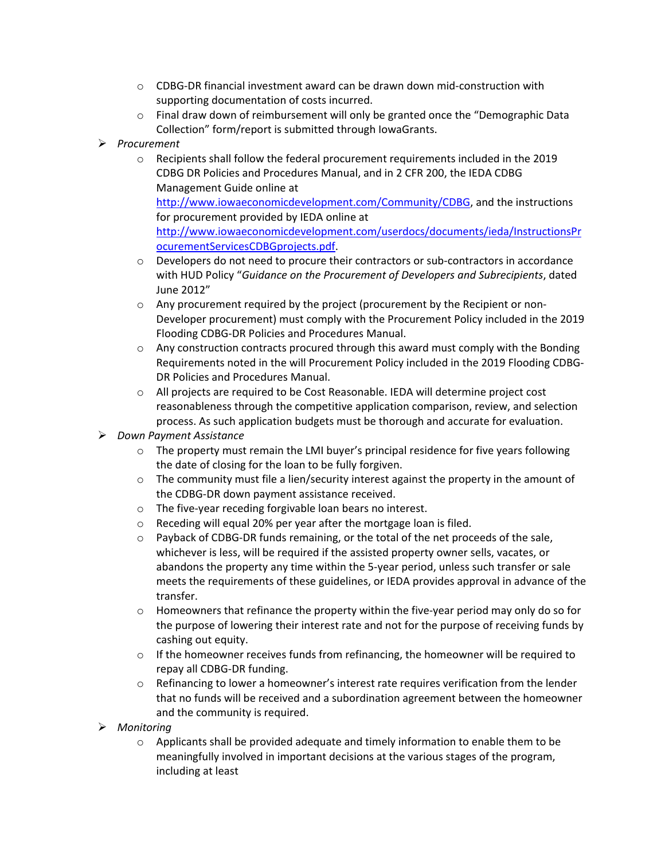- $\circ$  CDBG-DR financial investment award can be drawn down mid-construction with supporting documentation of costs incurred.
- $\circ$  Final draw down of reimbursement will only be granted once the "Demographic Data" Collection" form/report is submitted through IowaGrants.
- *Procurement*
	- o Recipients shall follow the federal procurement requirements included in the 2019 CDBG DR Policies and Procedures Manual, and in 2 CFR 200, the IEDA CDBG Management Guide online at [http://www.iowaeconomicdevelopment.com/Community/CDBG,](http://www.iowaeconomicdevelopment.com/Community/CDBG) and the instructions for procurement provided by IEDA online at [http://www.iowaeconomicdevelopment.com/userdocs/documents/ieda/InstructionsPr](http://www.iowaeconomicdevelopment.com/userdocs/documents/ieda/InstructionsProcurementServicesCDBGprojects.pdf) [ocurementServicesCDBGprojects.pdf.](http://www.iowaeconomicdevelopment.com/userdocs/documents/ieda/InstructionsProcurementServicesCDBGprojects.pdf)
	- $\circ$  Developers do not need to procure their contractors or sub-contractors in accordance with HUD Policy "*Guidance on the Procurement of Developers and Subrecipients*, dated June 2012"
	- o Any procurement required by the project (procurement by the Recipient or non-Developer procurement) must comply with the Procurement Policy included in the 2019 Flooding CDBG-DR Policies and Procedures Manual.
	- $\circ$  Any construction contracts procured through this award must comply with the Bonding Requirements noted in the will Procurement Policy included in the 2019 Flooding CDBG-DR Policies and Procedures Manual.
	- $\circ$  All projects are required to be Cost Reasonable. IEDA will determine project cost reasonableness through the competitive application comparison, review, and selection process. As such application budgets must be thorough and accurate for evaluation.
- *Down Payment Assistance*
	- $\circ$  The property must remain the LMI buyer's principal residence for five years following the date of closing for the loan to be fully forgiven.
	- $\circ$  The community must file a lien/security interest against the property in the amount of the CDBG-DR down payment assistance received.
	- o The five-year receding forgivable loan bears no interest.
	- o Receding will equal 20% per year after the mortgage loan is filed.
	- $\circ$  Payback of CDBG-DR funds remaining, or the total of the net proceeds of the sale, whichever is less, will be required if the assisted property owner sells, vacates, or abandons the property any time within the 5-year period, unless such transfer or sale meets the requirements of these guidelines, or IEDA provides approval in advance of the transfer.
	- $\circ$  Homeowners that refinance the property within the five-year period may only do so for the purpose of lowering their interest rate and not for the purpose of receiving funds by cashing out equity.
	- $\circ$  If the homeowner receives funds from refinancing, the homeowner will be required to repay all CDBG-DR funding.
	- $\circ$  Refinancing to lower a homeowner's interest rate requires verification from the lender that no funds will be received and a subordination agreement between the homeowner and the community is required.
- *Monitoring*
	- $\circ$  Applicants shall be provided adequate and timely information to enable them to be meaningfully involved in important decisions at the various stages of the program, including at least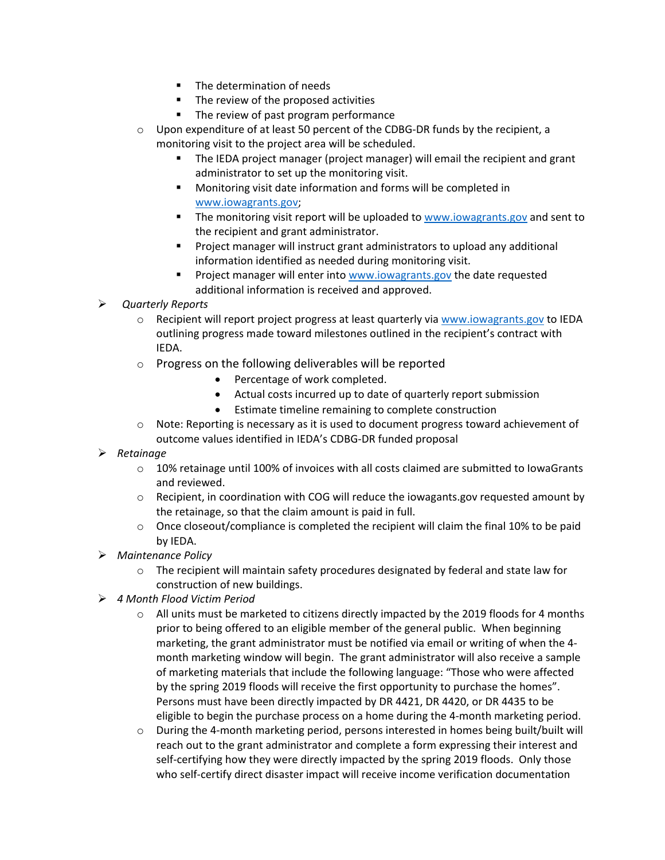- **The determination of needs**
- The review of the proposed activities
- The review of past program performance
- o Upon expenditure of at least 50 percent of the CDBG-DR funds by the recipient, a monitoring visit to the project area will be scheduled.
	- The IEDA project manager (project manager) will email the recipient and grant administrator to set up the monitoring visit.
	- **Monitoring visit date information and forms will be completed in** [www.iowagrants.gov;](http://www.iowagrants.gov/)
	- **The monitoring visit report will be uploaded to [www.iowagrants.gov](http://www.iowagrants.gov/) and sent to** the recipient and grant administrator.
	- **Project manager will instruct grant administrators to upload any additional** information identified as needed during monitoring visit.
	- Project manager will enter into [www.iowagrants.gov](http://www.iowagrants.gov/) the date requested additional information is received and approved.
- *Quarterly Reports*
	- o Recipient will report project progress at least quarterly via [www.iowagrants.gov](http://www.iowagrants.gov/) to IEDA outlining progress made toward milestones outlined in the recipient's contract with IEDA.
	- o Progress on the following deliverables will be reported
		- Percentage of work completed.
		- Actual costs incurred up to date of quarterly report submission
		- Estimate timeline remaining to complete construction
	- o Note: Reporting is necessary as it is used to document progress toward achievement of outcome values identified in IEDA's CDBG-DR funded proposal
- *Retainage* 
	- $\circ$  10% retainage until 100% of invoices with all costs claimed are submitted to lowaGrants and reviewed.
	- $\circ$  Recipient, in coordination with COG will reduce the iowagants.gov requested amount by the retainage, so that the claim amount is paid in full.
	- $\circ$  Once closeout/compliance is completed the recipient will claim the final 10% to be paid by IEDA.
- *Maintenance Policy*
	- $\circ$  The recipient will maintain safety procedures designated by federal and state law for construction of new buildings.
- *4 Month Flood Victim Period* 
	- $\circ$  All units must be marketed to citizens directly impacted by the 2019 floods for 4 months prior to being offered to an eligible member of the general public. When beginning marketing, the grant administrator must be notified via email or writing of when the 4 month marketing window will begin. The grant administrator will also receive a sample of marketing materials that include the following language: "Those who were affected by the spring 2019 floods will receive the first opportunity to purchase the homes". Persons must have been directly impacted by DR 4421, DR 4420, or DR 4435 to be eligible to begin the purchase process on a home during the 4-month marketing period.
	- o During the 4-month marketing period, persons interested in homes being built/built will reach out to the grant administrator and complete a form expressing their interest and self-certifying how they were directly impacted by the spring 2019 floods. Only those who self-certify direct disaster impact will receive income verification documentation